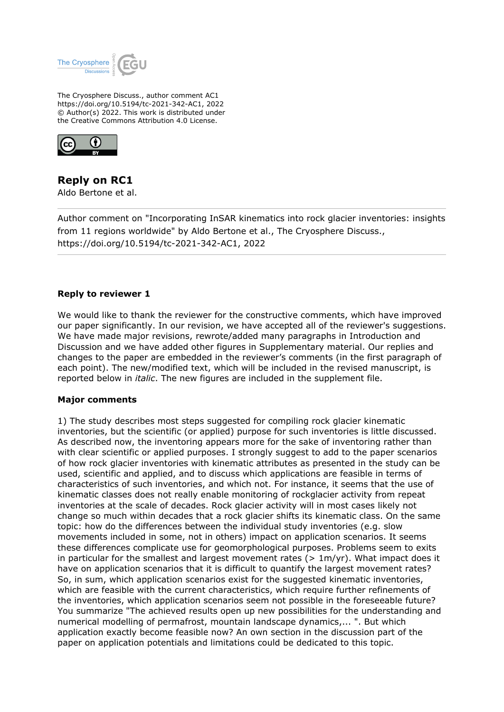

The Cryosphere Discuss., author comment AC1 https://doi.org/10.5194/tc-2021-342-AC1, 2022 © Author(s) 2022. This work is distributed under the Creative Commons Attribution 4.0 License.



## **Reply on RC1**

Aldo Bertone et al.

Author comment on "Incorporating InSAR kinematics into rock glacier inventories: insights from 11 regions worldwide" by Aldo Bertone et al., The Cryosphere Discuss., https://doi.org/10.5194/tc-2021-342-AC1, 2022

## **Reply to reviewer 1**

We would like to thank the reviewer for the constructive comments, which have improved our paper significantly. In our revision, we have accepted all of the reviewer's suggestions. We have made major revisions, rewrote/added many paragraphs in Introduction and Discussion and we have added other figures in Supplementary material. Our replies and changes to the paper are embedded in the reviewer's comments (in the first paragraph of each point). The new/modified text, which will be included in the revised manuscript, is reported below in *italic*. The new figures are included in the supplement file.

## **Major comments**

1) The study describes most steps suggested for compiling rock glacier kinematic inventories, but the scientific (or applied) purpose for such inventories is little discussed. As described now, the inventoring appears more for the sake of inventoring rather than with clear scientific or applied purposes. I strongly suggest to add to the paper scenarios of how rock glacier inventories with kinematic attributes as presented in the study can be used, scientific and applied, and to discuss which applications are feasible in terms of characteristics of such inventories, and which not. For instance, it seems that the use of kinematic classes does not really enable monitoring of rockglacier activity from repeat inventories at the scale of decades. Rock glacier activity will in most cases likely not change so much within decades that a rock glacier shifts its kinematic class. On the same topic: how do the differences between the individual study inventories (e.g. slow movements included in some, not in others) impact on application scenarios. It seems these differences complicate use for geomorphological purposes. Problems seem to exits in particular for the smallest and largest movement rates ( $> 1m/yr$ ). What impact does it have on application scenarios that it is difficult to quantify the largest movement rates? So, in sum, which application scenarios exist for the suggested kinematic inventories, which are feasible with the current characteristics, which require further refinements of the inventories, which application scenarios seem not possible in the foreseeable future? You summarize "The achieved results open up new possibilities for the understanding and numerical modelling of permafrost, mountain landscape dynamics,... ". But which application exactly become feasible now? An own section in the discussion part of the paper on application potentials and limitations could be dedicated to this topic.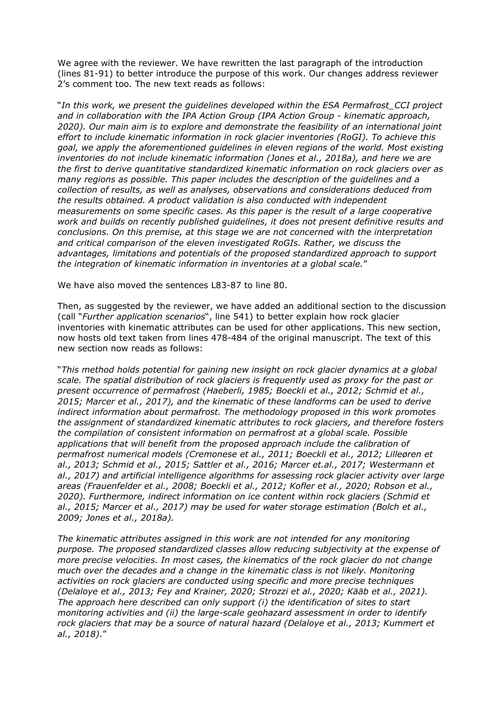We agree with the reviewer. We have rewritten the last paragraph of the introduction (lines 81-91) to better introduce the purpose of this work. Our changes address reviewer 2's comment too. The new text reads as follows:

"*In this work, we present the guidelines developed within the ESA Permafrost\_CCI project and in collaboration with the IPA Action Group (IPA Action Group - kinematic approach, 2020). Our main aim is to explore and demonstrate the feasibility of an international joint effort to include kinematic information in rock glacier inventories (RoGI). To achieve this goal, we apply the aforementioned guidelines in eleven regions of the world. Most existing inventories do not include kinematic information (Jones et al., 2018a), and here we are the first to derive quantitative standardized kinematic information on rock glaciers over as many regions as possible. This paper includes the description of the guidelines and a collection of results, as well as analyses, observations and considerations deduced from the results obtained. A product validation is also conducted with independent measurements on some specific cases. As this paper is the result of a large cooperative work and builds on recently published guidelines, it does not present definitive results and conclusions. On this premise, at this stage we are not concerned with the interpretation and critical comparison of the eleven investigated RoGIs. Rather, we discuss the advantages, limitations and potentials of the proposed standardized approach to support the integration of kinematic information in inventories at a global scale.*"

We have also moved the sentences L83-87 to line 80.

Then, as suggested by the reviewer, we have added an additional section to the discussion (call "*Further application scenarios*", line 541) to better explain how rock glacier inventories with kinematic attributes can be used for other applications. This new section, now hosts old text taken from lines 478-484 of the original manuscript. The text of this new section now reads as follows:

"*This method holds potential for gaining new insight on rock glacier dynamics at a global scale. The spatial distribution of rock glaciers is frequently used as proxy for the past or present occurrence of permafrost (Haeberli, 1985; Boeckli et al., 2012; Schmid et al., 2015; Marcer et al., 2017), and the kinematic of these landforms can be used to derive indirect information about permafrost. The methodology proposed in this work promotes the assignment of standardized kinematic attributes to rock glaciers, and therefore fosters the compilation of consistent information on permafrost at a global scale. Possible applications that will benefit from the proposed approach include the calibration of permafrost numerical models (Cremonese et al., 2011; Boeckli et al., 2012; Lilleøren et al., 2013; Schmid et al., 2015; Sattler et al., 2016; Marcer et.al., 2017; Westermann et al., 2017) and artificial intelligence algorithms for assessing rock glacier activity over large areas (Frauenfelder et al., 2008; Boeckli et al., 2012; Kofler et al., 2020; Robson et al., 2020). Furthermore, indirect information on ice content within rock glaciers (Schmid et al., 2015; Marcer et al., 2017) may be used for water storage estimation (Bolch et al., 2009; Jones et al., 2018a).*

*The kinematic attributes assigned in this work are not intended for any monitoring purpose. The proposed standardized classes allow reducing subjectivity at the expense of more precise velocities. In most cases, the kinematics of the rock glacier do not change much over the decades and a change in the kinematic class is not likely. Monitoring activities on rock glaciers are conducted using specific and more precise techniques (Delaloye et al., 2013; Fey and Krainer, 2020; Strozzi et al., 2020; Kääb et al., 2021). The approach here described can only support (i) the identification of sites to start monitoring activities and (ii) the large-scale geohazard assessment in order to identify rock glaciers that may be a source of natural hazard (Delaloye et al., 2013; Kummert et al., 2018)*."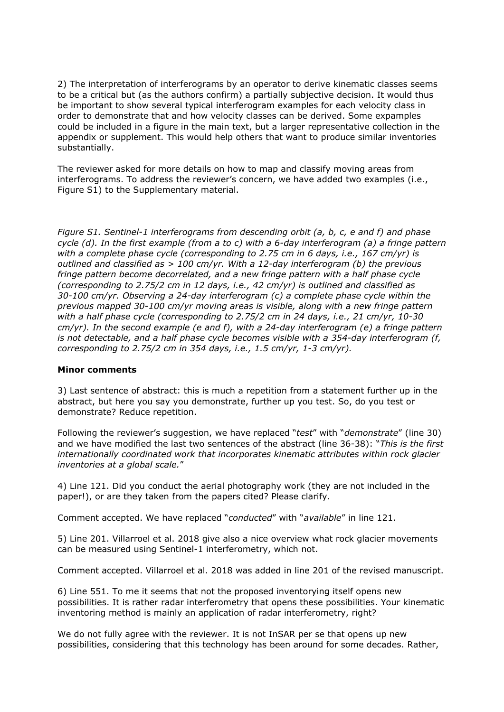2) The interpretation of interferograms by an operator to derive kinematic classes seems to be a critical but (as the authors confirm) a partially subjective decision. It would thus be important to show several typical interferogram examples for each velocity class in order to demonstrate that and how velocity classes can be derived. Some expamples could be included in a figure in the main text, but a larger representative collection in the appendix or supplement. This would help others that want to produce similar inventories substantially.

The reviewer asked for more details on how to map and classify moving areas from interferograms. To address the reviewer's concern, we have added two examples (i.e., Figure S1) to the Supplementary material.

*Figure S1. Sentinel-1 interferograms from descending orbit (a, b, c, e and f) and phase cycle (d). In the first example (from a to c) with a 6-day interferogram (a) a fringe pattern with a complete phase cycle (corresponding to 2.75 cm in 6 days, i.e., 167 cm/yr) is outlined and classified as > 100 cm/yr. With a 12-day interferogram (b) the previous fringe pattern become decorrelated, and a new fringe pattern with a half phase cycle (corresponding to 2.75/2 cm in 12 days, i.e., 42 cm/yr) is outlined and classified as 30-100 cm/yr. Observing a 24-day interferogram (c) a complete phase cycle within the previous mapped 30-100 cm/yr moving areas is visible, along with a new fringe pattern with a half phase cycle (corresponding to 2.75/2 cm in 24 days, i.e., 21 cm/yr, 10-30 cm/yr). In the second example (e and f), with a 24-day interferogram (e) a fringe pattern is not detectable, and a half phase cycle becomes visible with a 354-day interferogram (f, corresponding to 2.75/2 cm in 354 days, i.e., 1.5 cm/yr, 1-3 cm/yr).*

## **Minor comments**

3) Last sentence of abstract: this is much a repetition from a statement further up in the abstract, but here you say you demonstrate, further up you test. So, do you test or demonstrate? Reduce repetition.

Following the reviewer's suggestion, we have replaced "*test*" with "*demonstrate*" (line 30) and we have modified the last two sentences of the abstract (line 36-38): "*This is the first internationally coordinated work that incorporates kinematic attributes within rock glacier inventories at a global scale.*"

4) Line 121. Did you conduct the aerial photography work (they are not included in the paper!), or are they taken from the papers cited? Please clarify.

Comment accepted. We have replaced "*conducted*" with "*available*" in line 121.

5) Line 201. Villarroel et al. 2018 give also a nice overview what rock glacier movements can be measured using Sentinel-1 interferometry, which not.

Comment accepted. Villarroel et al. 2018 was added in line 201 of the revised manuscript.

6) Line 551. To me it seems that not the proposed inventorying itself opens new possibilities. It is rather radar interferometry that opens these possibilities. Your kinematic inventoring method is mainly an application of radar interferometry, right?

We do not fully agree with the reviewer. It is not InSAR per se that opens up new possibilities, considering that this technology has been around for some decades. Rather,